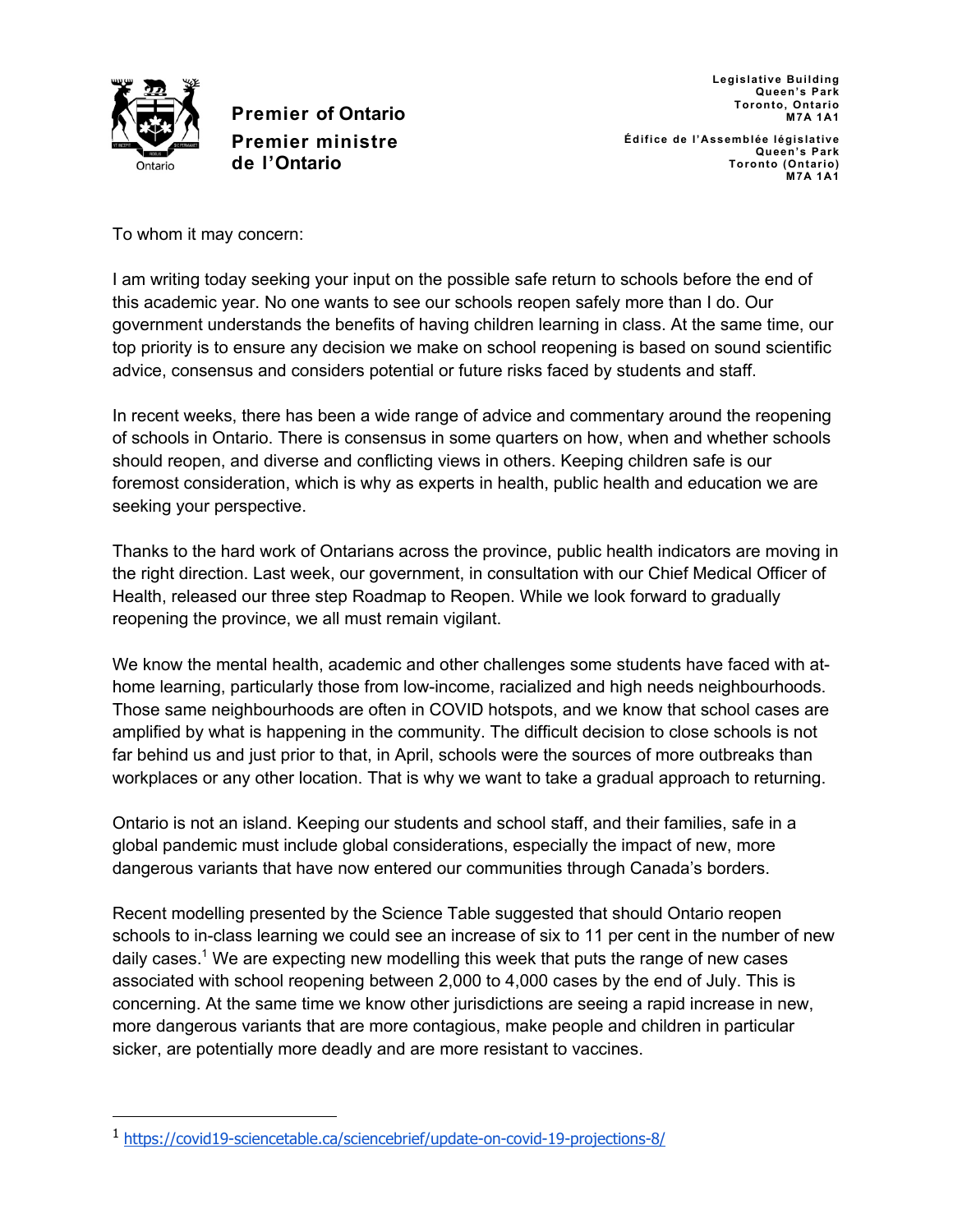

**Legislative Building Queen's Park Toronto, Ontario M7A 1A1 Édifice de l'Assemblée législative Queen's Park Toronto (Ontario)**

**M7A 1A1**

To whom it may concern:

I am writing today seeking your input on the possible safe return to schools before the end of this academic year. No one wants to see our schools reopen safely more than I do. Our government understands the benefits of having children learning in class. At the same time, our top priority is to ensure any decision we make on school reopening is based on sound scientific advice, consensus and considers potential or future risks faced by students and staff.

In recent weeks, there has been a wide range of advice and commentary around the reopening of schools in Ontario. There is consensus in some quarters on how, when and whether schools should reopen, and diverse and conflicting views in others. Keeping children safe is our foremost consideration, which is why as experts in health, public health and education we are seeking your perspective.

Thanks to the hard work of Ontarians across the province, public health indicators are moving in the right direction. Last week, our government, in consultation with our Chief Medical Officer of Health, released our three step Roadmap to Reopen. While we look forward to gradually reopening the province, we all must remain vigilant.

We know the mental health, academic and other challenges some students have faced with athome learning, particularly those from low-income, racialized and high needs neighbourhoods. Those same neighbourhoods are often in COVID hotspots, and we know that school cases are amplified by what is happening in the community. The difficult decision to close schools is not far behind us and just prior to that, in April, schools were the sources of more outbreaks than workplaces or any other location. That is why we want to take a gradual approach to returning.

Ontario is not an island. Keeping our students and school staff, and their families, safe in a global pandemic must include global considerations, especially the impact of new, more dangerous variants that have now entered our communities through Canada's borders.

Recent modelling presented by the Science Table suggested that should Ontario reopen schools to in-class learning we could see an increase of six to 11 per cent in the number of new daily cases.1 We are expecting new modelling this week that puts the range of new cases associated with school reopening between 2,000 to 4,000 cases by the end of July. This is concerning. At the same time we know other jurisdictions are seeing a rapid increase in new, more dangerous variants that are more contagious, make people and children in particular sicker, are potentially more deadly and are more resistant to vaccines.

<sup>1</sup> https://covid19-sciencetable.ca/sciencebrief/update-on-covid-19-projections-8/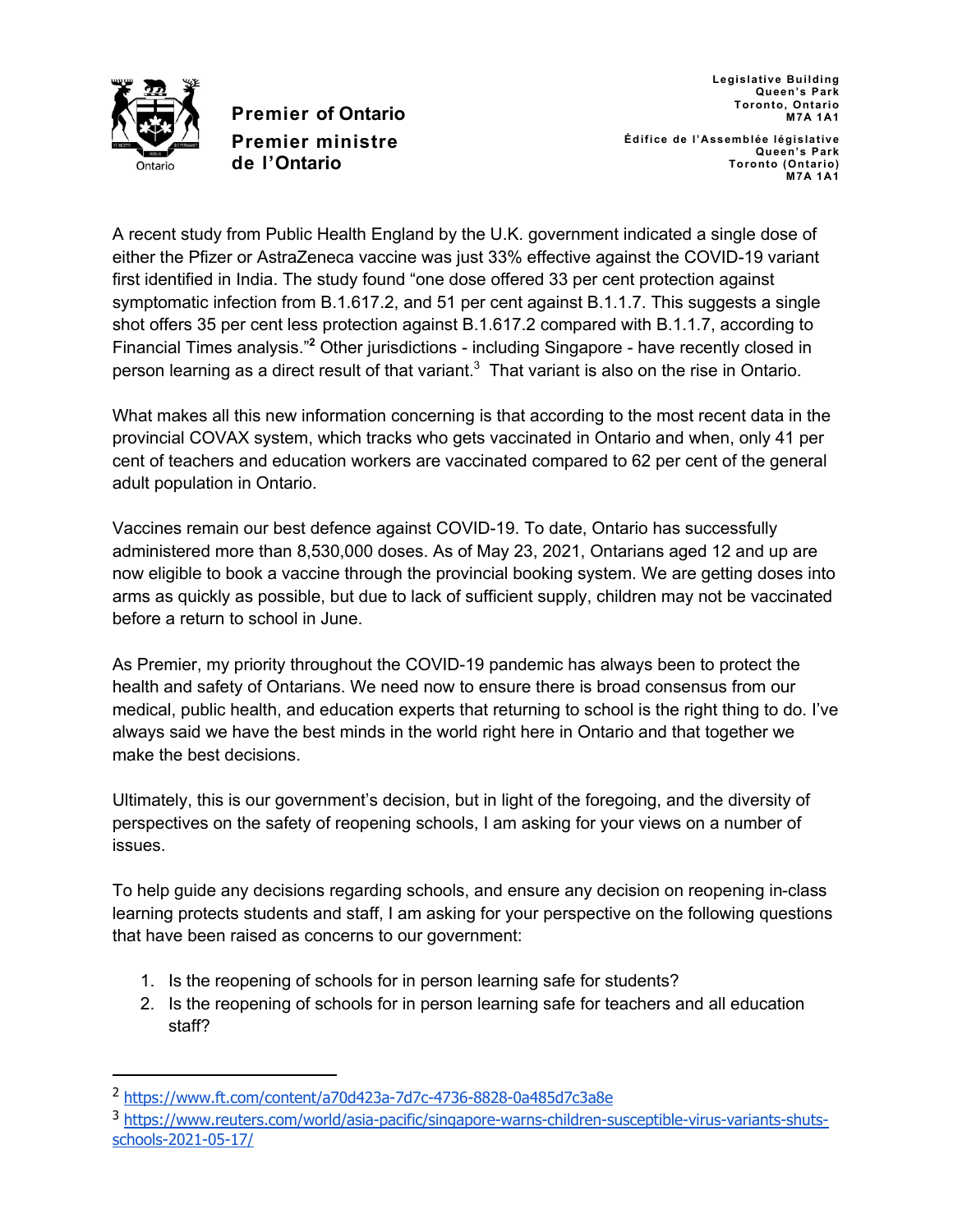

**Queen's Park Toronto, Ontario M7A 1A1 Édifice de l'Assemblée législative Queen's Park Toronto (Ontario) M7A 1A1**

**Legislative Building**

A recent study from Public Health England by the U.K. government indicated a single dose of either the Pfizer or AstraZeneca vaccine was just 33% effective against the COVID-19 variant first identified in India. The study found "one dose offered 33 per cent protection against symptomatic infection from B.1.617.2, and 51 per cent against B.1.1.7. This suggests a single shot offers 35 per cent less protection against B.1.617.2 compared with B.1.1.7, according to Financial Times analysis."**<sup>2</sup>** Other jurisdictions - including Singapore - have recently closed in person learning as a direct result of that variant.<sup>3</sup> That variant is also on the rise in Ontario.

What makes all this new information concerning is that according to the most recent data in the provincial COVAX system, which tracks who gets vaccinated in Ontario and when, only 41 per cent of teachers and education workers are vaccinated compared to 62 per cent of the general adult population in Ontario.

Vaccines remain our best defence against COVID-19. To date, Ontario has successfully administered more than 8,530,000 doses. As of May 23, 2021, Ontarians aged 12 and up are now eligible to book a vaccine through the provincial booking system. We are getting doses into arms as quickly as possible, but due to lack of sufficient supply, children may not be vaccinated before a return to school in June.

As Premier, my priority throughout the COVID-19 pandemic has always been to protect the health and safety of Ontarians. We need now to ensure there is broad consensus from our medical, public health, and education experts that returning to school is the right thing to do. I've always said we have the best minds in the world right here in Ontario and that together we make the best decisions.

Ultimately, this is our government's decision, but in light of the foregoing, and the diversity of perspectives on the safety of reopening schools, I am asking for your views on a number of issues.

To help guide any decisions regarding schools, and ensure any decision on reopening in-class learning protects students and staff, I am asking for your perspective on the following questions that have been raised as concerns to our government:

- 1. Is the reopening of schools for in person learning safe for students?
- 2. Is the reopening of schools for in person learning safe for teachers and all education staff?

<sup>2</sup> https://www.ft.com/content/a70d423a-7d7c-4736-8828-0a485d7c3a8e

<sup>3</sup> https://www.reuters.com/world/asia-pacific/singapore-warns-children-susceptible-virus-variants-shutsschools-2021-05-17/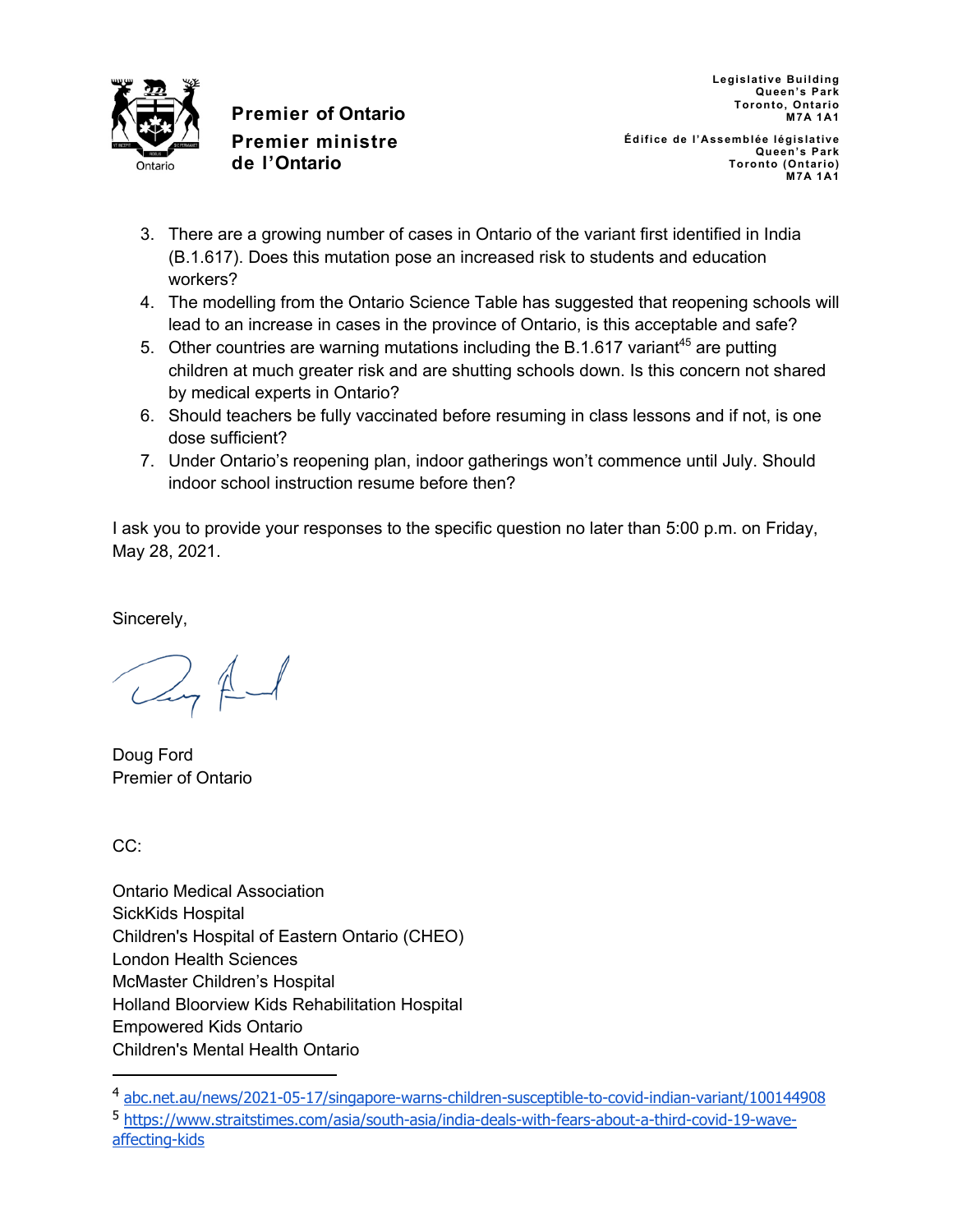

**Legislative Building Queen's Park Toronto, Ontario M7A 1A1**

**Édifice de l'Assemblée législative Queen's Park Toronto (Ontario) M7A 1A1**

- 3. There are a growing number of cases in Ontario of the variant first identified in India (B.1.617). Does this mutation pose an increased risk to students and education workers?
- 4. The modelling from the Ontario Science Table has suggested that reopening schools will lead to an increase in cases in the province of Ontario, is this acceptable and safe?
- 5. Other countries are warning mutations including the B.1.617 variant<sup>45</sup> are putting children at much greater risk and are shutting schools down. Is this concern not shared by medical experts in Ontario?
- 6. Should teachers be fully vaccinated before resuming in class lessons and if not, is one dose sufficient?
- 7. Under Ontario's reopening plan, indoor gatherings won't commence until July. Should indoor school instruction resume before then?

I ask you to provide your responses to the specific question no later than 5:00 p.m. on Friday, May 28, 2021.

Sincerely,

 $2, 4$ 

Doug Ford Premier of Ontario

CC:

Ontario Medical Association SickKids Hospital Children's Hospital of Eastern Ontario (CHEO) London Health Sciences McMaster Children's Hospital Holland Bloorview Kids Rehabilitation Hospital Empowered Kids Ontario Children's Mental Health Ontario

<sup>4</sup> abc.net.au/news/2021-05-17/singapore-warns-children-susceptible-to-covid-indian-variant/100144908

<sup>5</sup> https://www.straitstimes.com/asia/south-asia/india-deals-with-fears-about-a-third-covid-19-waveaffecting-kids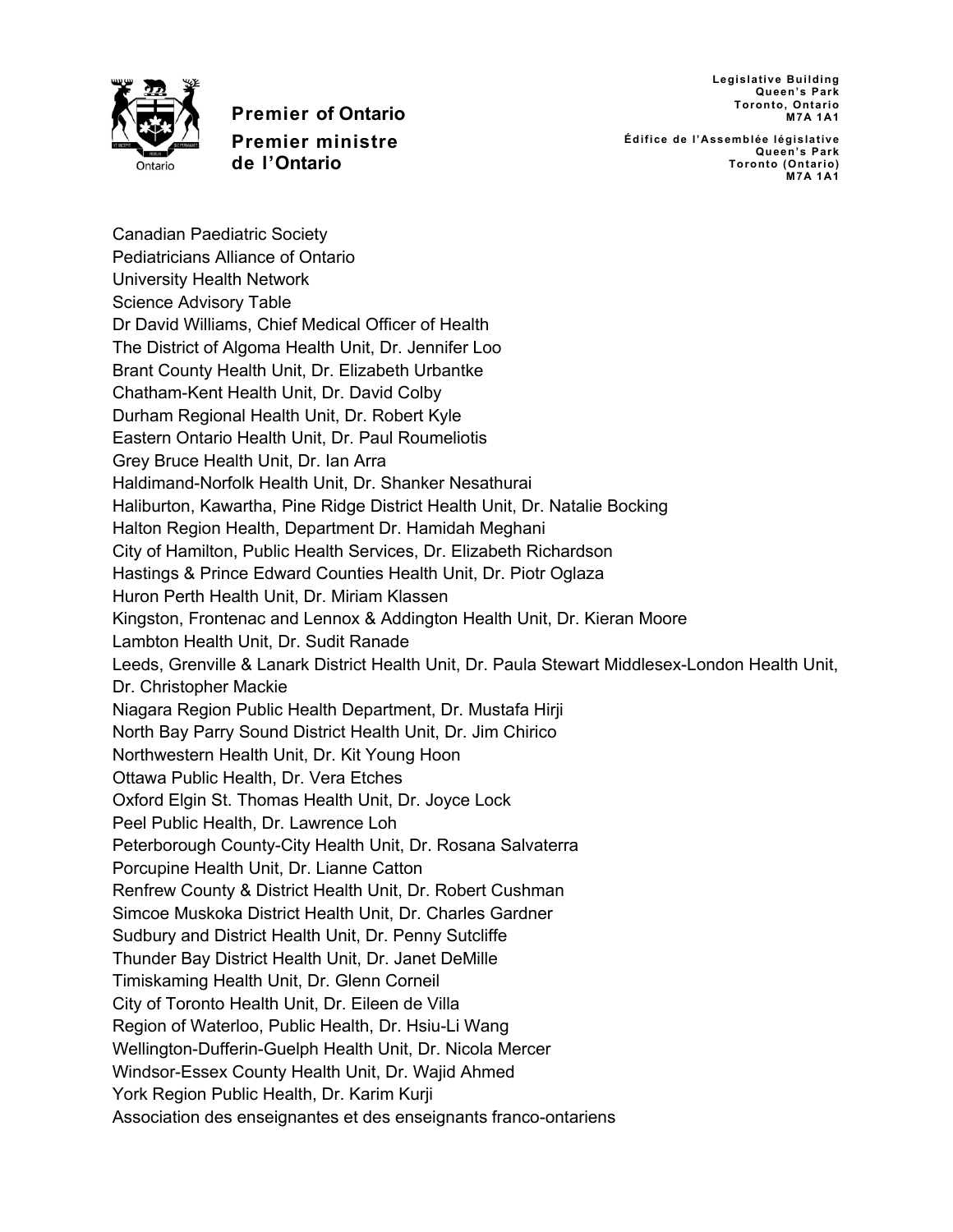**Legislative Building Queen's Park Toronto, Ontario M7A 1A1**



**Premier of Ontario Premier ministre de l'Ontario**

**Édifice de l'Assemblée législative Queen's Park Toronto (Ontario) M7A 1A1**

Canadian Paediatric Society Pediatricians Alliance of Ontario University Health Network Science Advisory Table Dr David Williams, Chief Medical Officer of Health The District of Algoma Health Unit, Dr. Jennifer Loo Brant County Health Unit, Dr. Elizabeth Urbantke Chatham-Kent Health Unit, Dr. David Colby Durham Regional Health Unit, Dr. Robert Kyle Eastern Ontario Health Unit, Dr. Paul Roumeliotis Grey Bruce Health Unit, Dr. Ian Arra Haldimand-Norfolk Health Unit, Dr. Shanker Nesathurai Haliburton, Kawartha, Pine Ridge District Health Unit, Dr. Natalie Bocking Halton Region Health, Department Dr. Hamidah Meghani City of Hamilton, Public Health Services, Dr. Elizabeth Richardson Hastings & Prince Edward Counties Health Unit, Dr. Piotr Oglaza Huron Perth Health Unit, Dr. Miriam Klassen Kingston, Frontenac and Lennox & Addington Health Unit, Dr. Kieran Moore Lambton Health Unit, Dr. Sudit Ranade Leeds, Grenville & Lanark District Health Unit, Dr. Paula Stewart Middlesex-London Health Unit, Dr. Christopher Mackie Niagara Region Public Health Department, Dr. Mustafa Hirji North Bay Parry Sound District Health Unit, Dr. Jim Chirico Northwestern Health Unit, Dr. Kit Young Hoon Ottawa Public Health, Dr. Vera Etches Oxford Elgin St. Thomas Health Unit, Dr. Joyce Lock Peel Public Health, Dr. Lawrence Loh Peterborough County-City Health Unit, Dr. Rosana Salvaterra Porcupine Health Unit, Dr. Lianne Catton Renfrew County & District Health Unit, Dr. Robert Cushman Simcoe Muskoka District Health Unit, Dr. Charles Gardner Sudbury and District Health Unit, Dr. Penny Sutcliffe Thunder Bay District Health Unit, Dr. Janet DeMille Timiskaming Health Unit, Dr. Glenn Corneil City of Toronto Health Unit, Dr. Eileen de Villa Region of Waterloo, Public Health, Dr. Hsiu-Li Wang Wellington-Dufferin-Guelph Health Unit, Dr. Nicola Mercer Windsor-Essex County Health Unit, Dr. Wajid Ahmed York Region Public Health, Dr. Karim Kurji Association des enseignantes et des enseignants franco-ontariens